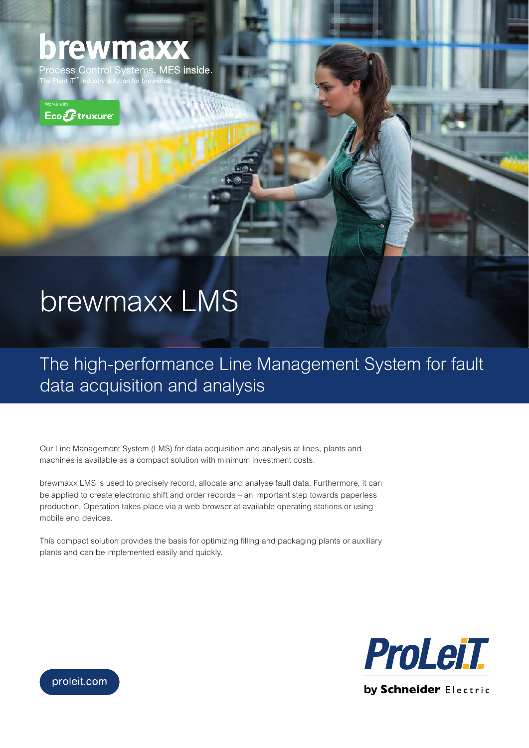## brewmaxx

stems. MES inside. **Process Control** The Plan<mark>t iT™</mark> indu



## brewmaxx LMS

The high-performance Line Management System for fault data acquisition and analysis

Our Line Management System (LMS) for data acquisition and analysis at lines, plants and machines is available as a compact solution with minimum investment costs.

brewmaxx LMS is used to precisely record, allocate and analyse fault data. Furthermore, it can be applied to create electronic shift and order records – an important step towards paperless production. Operation takes place via a web browser at available operating stations or using mobile end devices.

This compact solution provides the basis for optimizing filling and packaging plants or auxiliary plants and can be implemented easily and quickly.



proleit.com